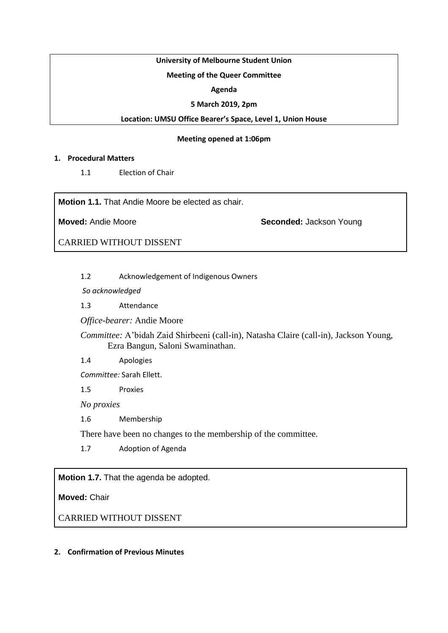# **University of Melbourne Student Union**

# **Meeting of the Queer Committee**

## **Agenda**

## **5 March 2019, 2pm**

## **Location: UMSU Office Bearer's Space, Level 1, Union House**

## **Meeting opened at 1:06pm**

## **1. Procedural Matters**

1.1 Election of Chair

**Motion 1.1.** That Andie Moore be elected as chair.

**Moved:** Andie Moore **Seconded:** Jackson Young

CARRIED WITHOUT DISSENT

1.2 Acknowledgement of Indigenous Owners

*So acknowledged*

1.3 Attendance

*Office-bearer:* Andie Moore

*Committee:* A'bidah Zaid Shirbeeni (call-in), Natasha Claire (call-in), Jackson Young, Ezra Bangun, Saloni Swaminathan.

1.4 Apologies

*Committee:* Sarah Ellett.

1.5 Proxies

*No proxies*

1.6 Membership

There have been no changes to the membership of the committee.

1.7 Adoption of Agenda

**Motion 1.7.** That the agenda be adopted.

**Moved:** Chair

CARRIED WITHOUT DISSENT

## **2. Confirmation of Previous Minutes**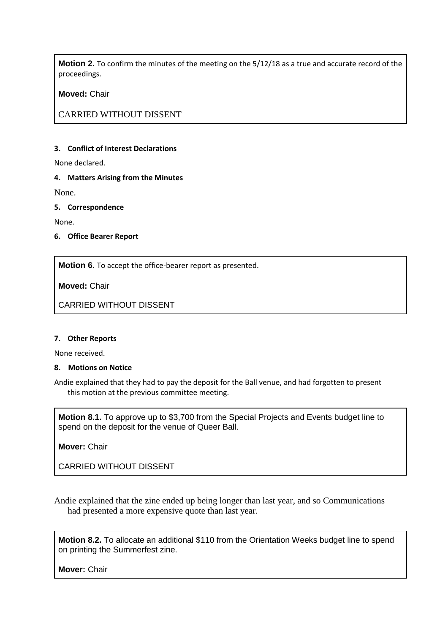**Motion 2.** To confirm the minutes of the meeting on the 5/12/18 as a true and accurate record of the proceedings.

**Moved:** Chair

CARRIED WITHOUT DISSENT

#### **3. Conflict of Interest Declarations**

None declared.

#### **4. Matters Arising from the Minutes**

None.

#### **5. Correspondence**

None.

**6. Office Bearer Report**

**Motion 6.** To accept the office-bearer report as presented.

**Moved:** Chair

CARRIED WITHOUT DISSENT

#### **7. Other Reports**

None received.

## **8. Motions on Notice**

Andie explained that they had to pay the deposit for the Ball venue, and had forgotten to present this motion at the previous committee meeting.

**Motion 8.1.** To approve up to \$3,700 from the Special Projects and Events budget line to spend on the deposit for the venue of Queer Ball.

**Mover:** Chair

CARRIED WITHOUT DISSENT

Andie explained that the zine ended up being longer than last year, and so Communications had presented a more expensive quote than last year.

**Motion 8.2.** To allocate an additional \$110 from the Orientation Weeks budget line to spend on printing the Summerfest zine.

**Mover:** Chair